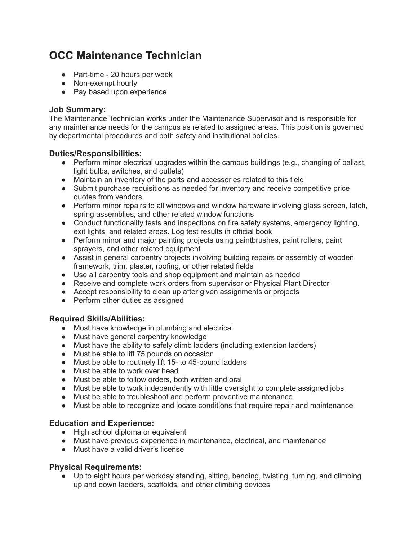# **OCC Maintenance Technician**

- Part-time 20 hours per week
- Non-exempt hourly
- Pay based upon experience

#### **Job Summary:**

The Maintenance Technician works under the Maintenance Supervisor and is responsible for any maintenance needs for the campus as related to assigned areas. This position is governed by departmental procedures and both safety and institutional policies.

#### **Duties/Responsibilities:**

- Perform minor electrical upgrades within the campus buildings (e.g., changing of ballast, light bulbs, switches, and outlets)
- Maintain an inventory of the parts and accessories related to this field
- Submit purchase requisitions as needed for inventory and receive competitive price quotes from vendors
- Perform minor repairs to all windows and window hardware involving glass screen, latch, spring assemblies, and other related window functions
- Conduct functionality tests and inspections on fire safety systems, emergency lighting, exit lights, and related areas. Log test results in official book
- Perform minor and major painting projects using paintbrushes, paint rollers, paint sprayers, and other related equipment
- Assist in general carpentry projects involving building repairs or assembly of wooden framework, trim, plaster, roofing, or other related fields
- Use all carpentry tools and shop equipment and maintain as needed
- Receive and complete work orders from supervisor or Physical Plant Director
- Accept responsibility to clean up after given assignments or projects
- Perform other duties as assigned

### **Required Skills/Abilities:**

- Must have knowledge in plumbing and electrical
- Must have general carpentry knowledge
- Must have the ability to safely climb ladders (including extension ladders)
- Must be able to lift 75 pounds on occasion
- Must be able to routinely lift 15- to 45-pound ladders
- Must be able to work over head
- Must be able to follow orders, both written and oral
- Must be able to work independently with little oversight to complete assigned jobs
- Must be able to troubleshoot and perform preventive maintenance
- Must be able to recognize and locate conditions that require repair and maintenance

### **Education and Experience:**

- High school diploma or equivalent
- Must have previous experience in maintenance, electrical, and maintenance
- Must have a valid driver's license

### **Physical Requirements:**

● Up to eight hours per workday standing, sitting, bending, twisting, turning, and climbing up and down ladders, scaffolds, and other climbing devices